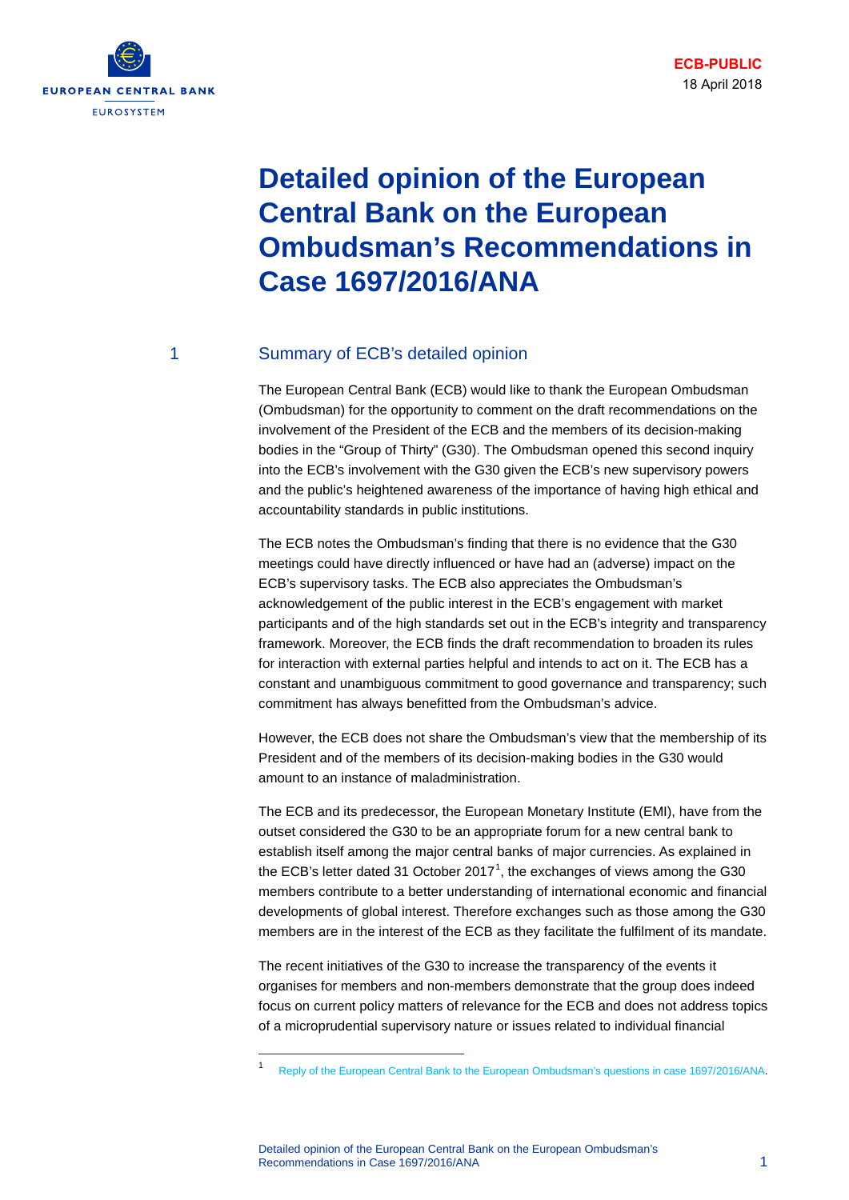

# **Detailed opinion of the European Central Bank on the European Ombudsman's Recommendations in Case 1697/2016/ANA**

#### 1 Summary of ECB's detailed opinion

The European Central Bank (ECB) would like to thank the European Ombudsman (Ombudsman) for the opportunity to comment on the draft recommendations on the involvement of the President of the ECB and the members of its decision-making bodies in the "Group of Thirty" (G30). The Ombudsman opened this second inquiry into the ECB's involvement with the G30 given the ECB's new supervisory powers and the public's heightened awareness of the importance of having high ethical and accountability standards in public institutions.

The ECB notes the Ombudsman's finding that there is no evidence that the G30 meetings could have directly influenced or have had an (adverse) impact on the ECB's supervisory tasks. The ECB also appreciates the Ombudsman's acknowledgement of the public interest in the ECB's engagement with market participants and of the high standards set out in the ECB's integrity and transparency framework. Moreover, the ECB finds the draft recommendation to broaden its rules for interaction with external parties helpful and intends to act on it. The ECB has a constant and unambiguous commitment to good governance and transparency; such commitment has always benefitted from the Ombudsman's advice.

However, the ECB does not share the Ombudsman's view that the membership of its President and of the members of its decision-making bodies in the G30 would amount to an instance of maladministration.

The ECB and its predecessor, the European Monetary Institute (EMI), have from the outset considered the G30 to be an appropriate forum for a new central bank to establish itself among the major central banks of major currencies. As explained in the ECB's letter dated 3[1](#page-0-0) October 2017<sup>1</sup>, the exchanges of views among the G30 members contribute to a better understanding of international economic and financial developments of global interest. Therefore exchanges such as those among the G30 members are in the interest of the ECB as they facilitate the fulfilment of its mandate.

The recent initiatives of the G30 to increase the transparency of the events it organises for members and non-members demonstrate that the group does indeed focus on current policy matters of relevance for the ECB and does not address topics of a microprudential supervisory nature or issues related to individual financial

Detailed opinion of the European Central Bank on the European Ombudsman's Recommendations in Case 1697/2016/ANA 1

<span id="page-0-0"></span><sup>1</sup> [Reply of the European Central Bank to the European Ombudsman's questions in case 1697/2016/ANA.](https://www.ecb.europa.eu/pub/pdf/other/replyecbeuropeanombudsman_g30_20171031.en.pdf)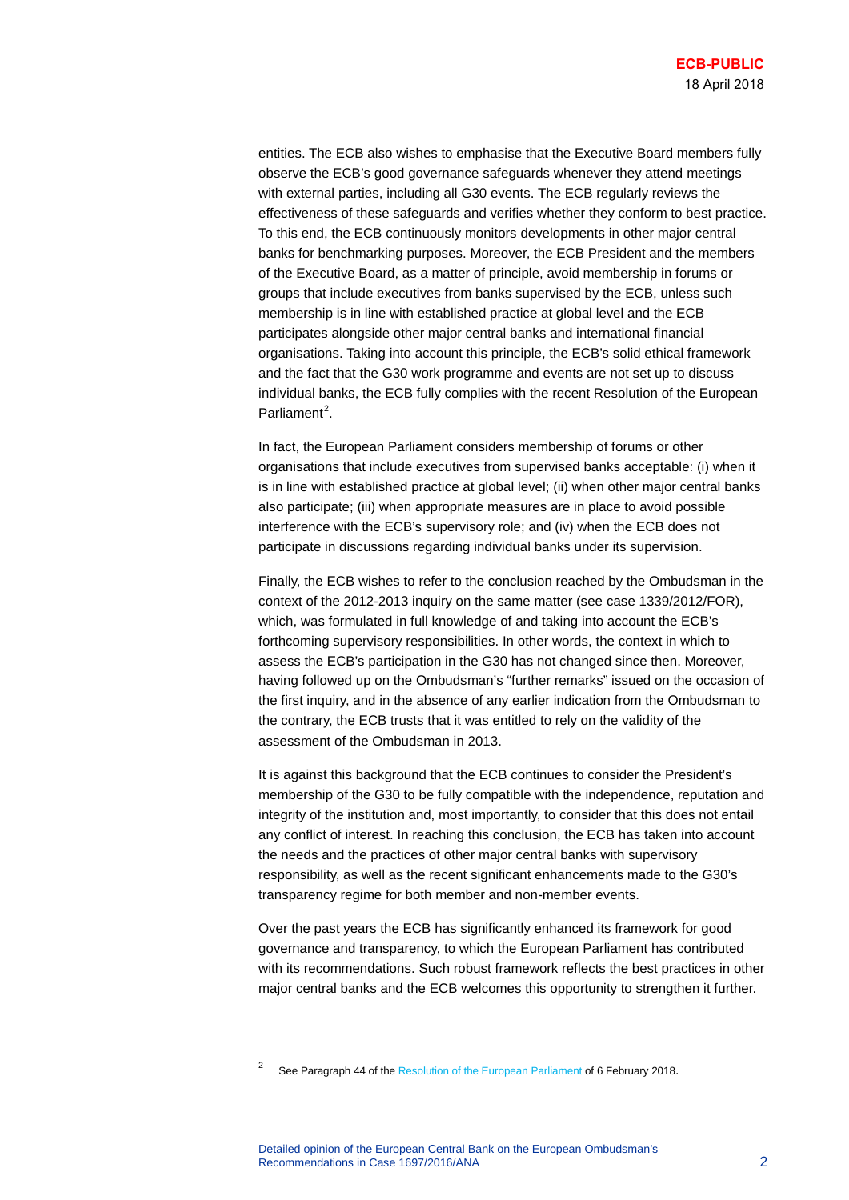entities. The ECB also wishes to emphasise that the Executive Board members fully observe the ECB's good governance safeguards whenever they attend meetings with external parties, including all G30 events. The ECB regularly reviews the effectiveness of these safeguards and verifies whether they conform to best practice. To this end, the ECB continuously monitors developments in other major central banks for benchmarking purposes. Moreover, the ECB President and the members of the Executive Board, as a matter of principle, avoid membership in forums or groups that include executives from banks supervised by the ECB, unless such membership is in line with established practice at global level and the ECB participates alongside other major central banks and international financial organisations. Taking into account this principle, the ECB's solid ethical framework and the fact that the G30 work programme and events are not set up to discuss individual banks, the ECB fully complies with the recent Resolution of the European Parliament<sup>[2](#page-1-0)</sup>.

In fact, the European Parliament considers membership of forums or other organisations that include executives from supervised banks acceptable: (i) when it is in line with established practice at global level; (ii) when other major central banks also participate; (iii) when appropriate measures are in place to avoid possible interference with the ECB's supervisory role; and (iv) when the ECB does not participate in discussions regarding individual banks under its supervision.

Finally, the ECB wishes to refer to the conclusion reached by the Ombudsman in the context of the 2012-2013 inquiry on the same matter (see case 1339/2012/FOR), which, was formulated in full knowledge of and taking into account the ECB's forthcoming supervisory responsibilities. In other words, the context in which to assess the ECB's participation in the G30 has not changed since then. Moreover, having followed up on the Ombudsman's "further remarks" issued on the occasion of the first inquiry, and in the absence of any earlier indication from the Ombudsman to the contrary, the ECB trusts that it was entitled to rely on the validity of the assessment of the Ombudsman in 2013.

It is against this background that the ECB continues to consider the President's membership of the G30 to be fully compatible with the independence, reputation and integrity of the institution and, most importantly, to consider that this does not entail any conflict of interest. In reaching this conclusion, the ECB has taken into account the needs and the practices of other major central banks with supervisory responsibility, as well as the recent significant enhancements made to the G30's transparency regime for both member and non-member events.

Over the past years the ECB has significantly enhanced its framework for good governance and transparency, to which the European Parliament has contributed with its recommendations. Such robust framework reflects the best practices in other major central banks and the ECB welcomes this opportunity to strengthen it further.

<span id="page-1-0"></span>See Paragraph 44 of th[e Resolution of the European Parliament](http://www.europarl.europa.eu/sides/getDoc.do?pubRef=-//EP//TEXT+TA+P8-TA-2018-0025+0+DOC+XML+V0//EN&language=EN) of 6 February 2018.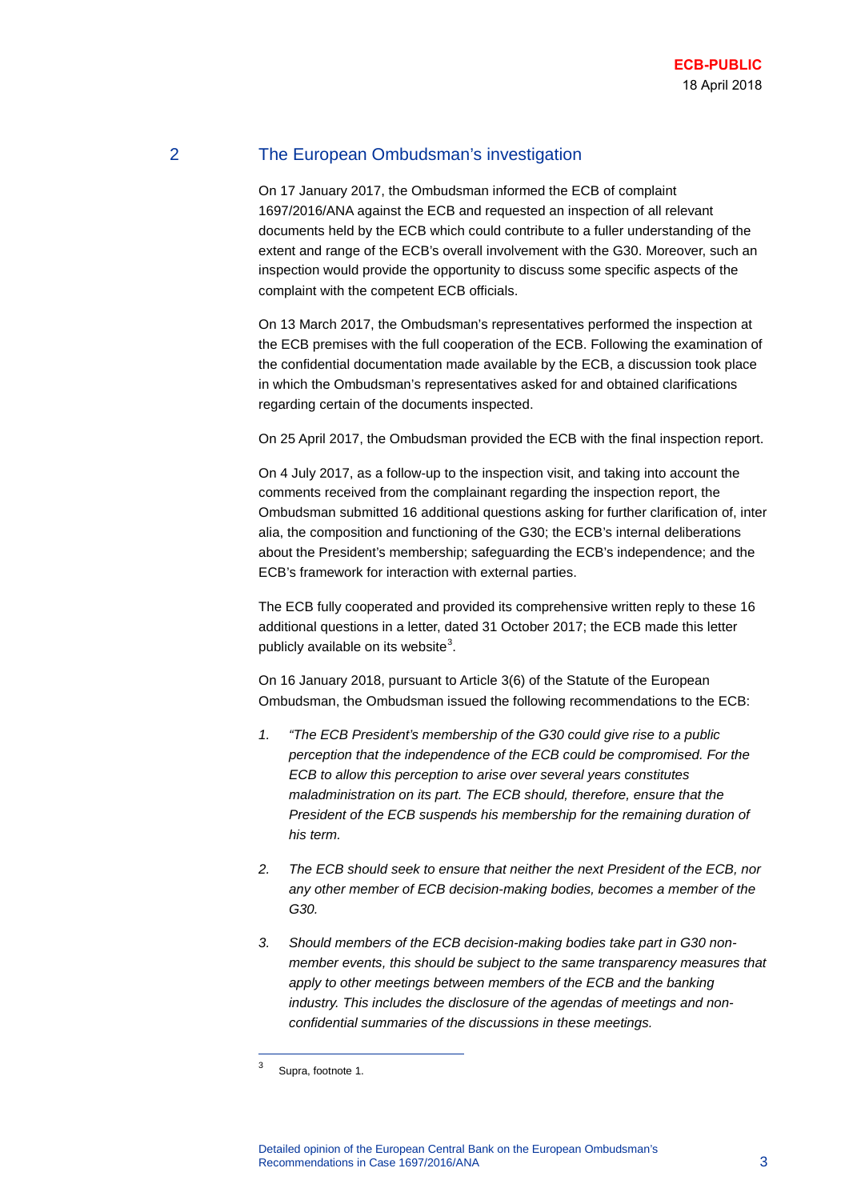# 2 The European Ombudsman's investigation

On 17 January 2017, the Ombudsman informed the ECB of complaint 1697/2016/ANA against the ECB and requested an inspection of all relevant documents held by the ECB which could contribute to a fuller understanding of the extent and range of the ECB's overall involvement with the G30. Moreover, such an inspection would provide the opportunity to discuss some specific aspects of the complaint with the competent ECB officials.

On 13 March 2017, the Ombudsman's representatives performed the inspection at the ECB premises with the full cooperation of the ECB. Following the examination of the confidential documentation made available by the ECB, a discussion took place in which the Ombudsman's representatives asked for and obtained clarifications regarding certain of the documents inspected.

On 25 April 2017, the Ombudsman provided the ECB with the final inspection report.

On 4 July 2017, as a follow-up to the inspection visit, and taking into account the comments received from the complainant regarding the inspection report, the Ombudsman submitted 16 additional questions asking for further clarification of, inter alia, the composition and functioning of the G30; the ECB's internal deliberations about the President's membership; safeguarding the ECB's independence; and the ECB's framework for interaction with external parties.

The ECB fully cooperated and provided its comprehensive written reply to these 16 additional questions in a letter, dated 31 October 2017; the ECB made this letter publicly available on its website<sup>[3](#page-2-0)</sup>.

On 16 January 2018, pursuant to Article 3(6) of the Statute of the European Ombudsman, the Ombudsman issued the following recommendations to the ECB:

- *1. "The ECB President's membership of the G30 could give rise to a public perception that the independence of the ECB could be compromised. For the ECB to allow this perception to arise over several years constitutes maladministration on its part. The ECB should, therefore, ensure that the President of the ECB suspends his membership for the remaining duration of his term.*
- *2. The ECB should seek to ensure that neither the next President of the ECB, nor any other member of ECB decision-making bodies, becomes a member of the G30.*
- *3. Should members of the ECB decision-making bodies take part in G30 nonmember events, this should be subject to the same transparency measures that apply to other meetings between members of the ECB and the banking industry. This includes the disclosure of the agendas of meetings and nonconfidential summaries of the discussions in these meetings.*

<span id="page-2-0"></span><sup>3</sup> Supra, footnote 1.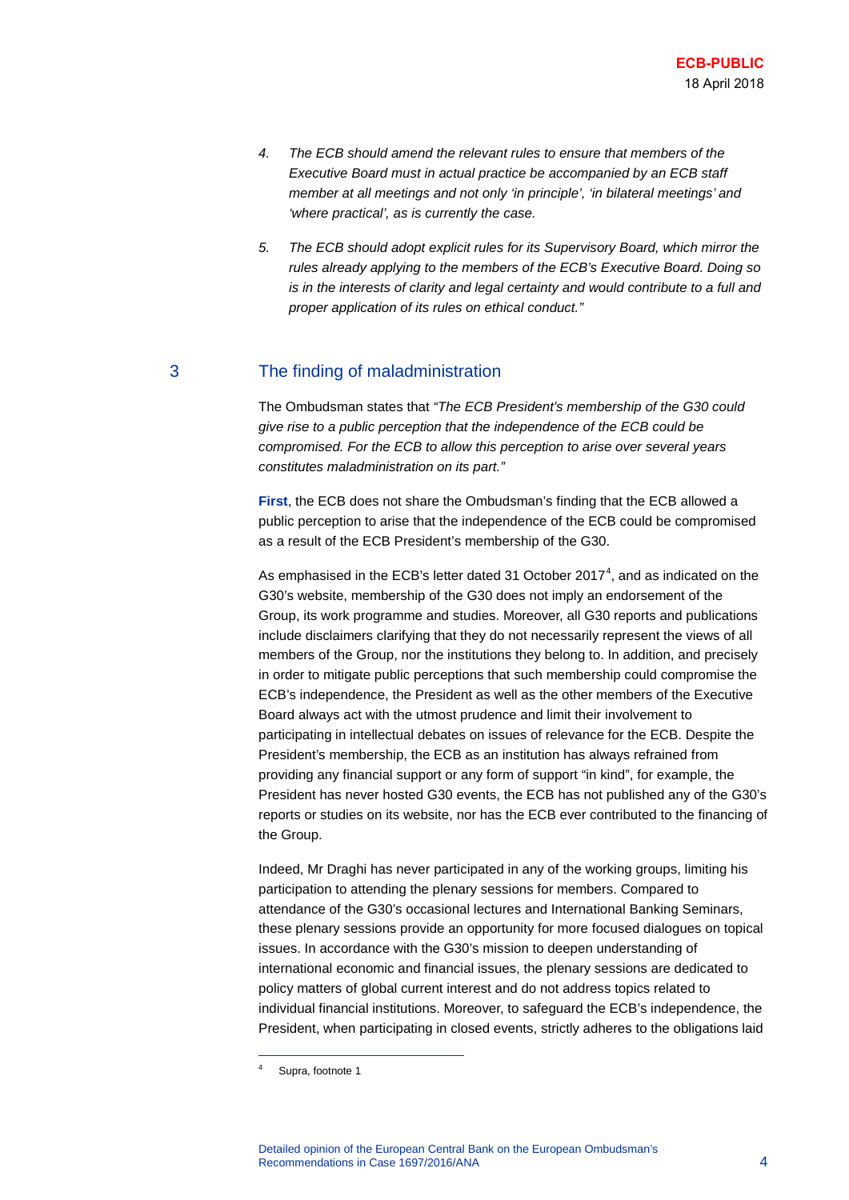- *4. The ECB should amend the relevant rules to ensure that members of the Executive Board must in actual practice be accompanied by an ECB staff member at all meetings and not only 'in principle', 'in bilateral meetings' and 'where practical', as is currently the case.*
- *5. The ECB should adopt explicit rules for its Supervisory Board, which mirror the rules already applying to the members of the ECB's Executive Board. Doing so is in the interests of clarity and legal certainty and would contribute to a full and proper application of its rules on ethical conduct."*

# 3 The finding of maladministration

The Ombudsman states that *"The ECB President's membership of the G30 could give rise to a public perception that the independence of the ECB could be compromised. For the ECB to allow this perception to arise over several years constitutes maladministration on its part."*

**First**, the ECB does not share the Ombudsman's finding that the ECB allowed a public perception to arise that the independence of the ECB could be compromised as a result of the ECB President's membership of the G30.

As emphasised in the ECB's letter dated 31 October 2017<sup>[4](#page-3-0)</sup>, and as indicated on the G30's website, membership of the G30 does not imply an endorsement of the Group, its work programme and studies. Moreover, all G30 reports and publications include disclaimers clarifying that they do not necessarily represent the views of all members of the Group, nor the institutions they belong to. In addition, and precisely in order to mitigate public perceptions that such membership could compromise the ECB's independence, the President as well as the other members of the Executive Board always act with the utmost prudence and limit their involvement to participating in intellectual debates on issues of relevance for the ECB. Despite the President's membership, the ECB as an institution has always refrained from providing any financial support or any form of support "in kind", for example, the President has never hosted G30 events, the ECB has not published any of the G30's reports or studies on its website, nor has the ECB ever contributed to the financing of the Group.

Indeed, Mr Draghi has never participated in any of the working groups, limiting his participation to attending the plenary sessions for members. Compared to attendance of the G30's occasional lectures and International Banking Seminars, these plenary sessions provide an opportunity for more focused dialogues on topical issues. In accordance with the G30's mission to deepen understanding of international economic and financial issues, the plenary sessions are dedicated to policy matters of global current interest and do not address topics related to individual financial institutions. Moreover, to safeguard the ECB's independence, the President, when participating in closed events, strictly adheres to the obligations laid

<span id="page-3-0"></span><sup>4</sup> Supra, footnote 1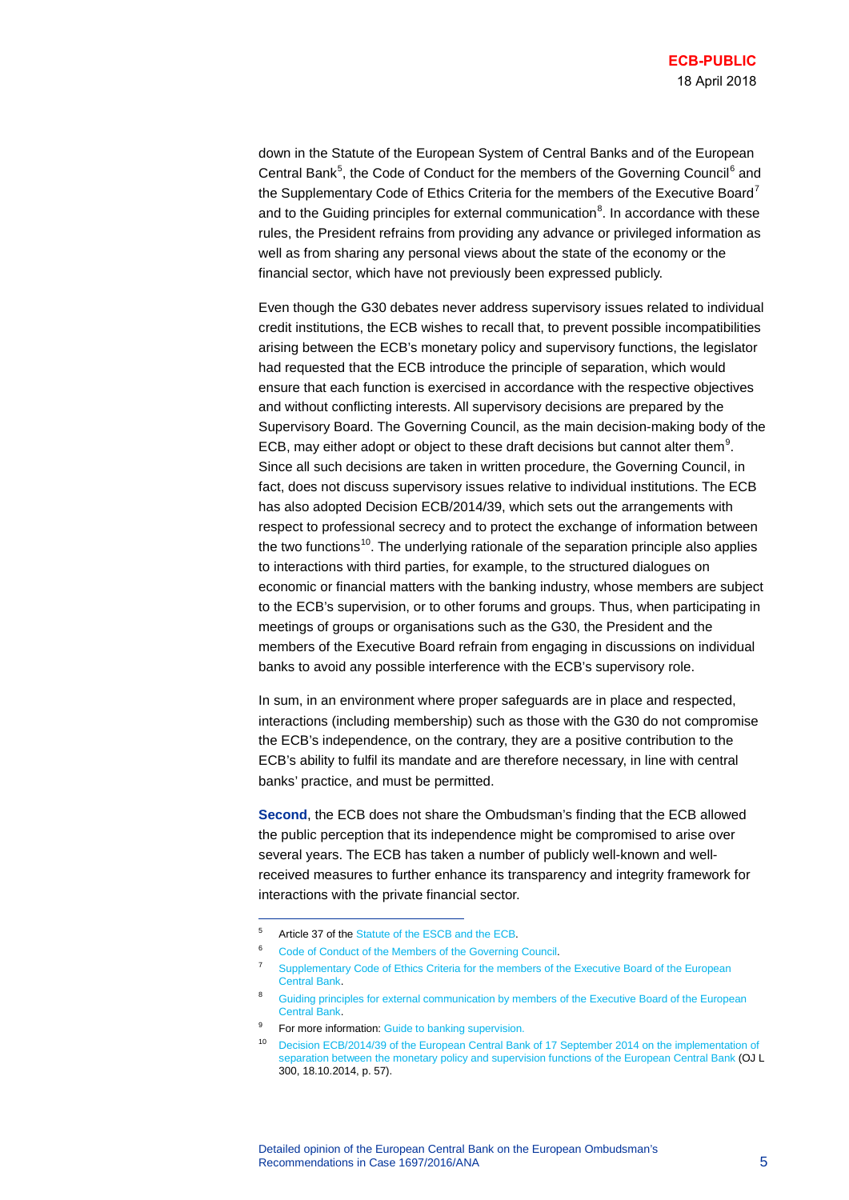down in the Statute of the European System of Central Banks and of the European Central Bank<sup>[5](#page-4-0)</sup>, the Code of Conduct for the members of the Governing Council<sup>[6](#page-4-1)</sup> and the Supplementary Code of Ethics Criteria for the members of the Executive Board<sup>[7](#page-4-2)</sup> and to the Guiding principles for external communication ${}^{8}$  ${}^{8}$  ${}^{8}$ . In accordance with these rules, the President refrains from providing any advance or privileged information as well as from sharing any personal views about the state of the economy or the financial sector, which have not previously been expressed publicly.

Even though the G30 debates never address supervisory issues related to individual credit institutions, the ECB wishes to recall that, to prevent possible incompatibilities arising between the ECB's monetary policy and supervisory functions, the legislator had requested that the ECB introduce the principle of separation, which would ensure that each function is exercised in accordance with the respective objectives and without conflicting interests. All supervisory decisions are prepared by the Supervisory Board. The Governing Council, as the main decision-making body of the ECB, may either adopt or object to these draft decisions but cannot alter them<sup>[9](#page-4-4)</sup>. Since all such decisions are taken in written procedure, the Governing Council, in fact, does not discuss supervisory issues relative to individual institutions. The ECB has also adopted Decision ECB/2014/39, which sets out the arrangements with respect to professional secrecy and to protect the exchange of information between the two functions<sup>10</sup>. The underlying rationale of the separation principle also applies to interactions with third parties, for example, to the structured dialogues on economic or financial matters with the banking industry, whose members are subject to the ECB's supervision, or to other forums and groups. Thus, when participating in meetings of groups or organisations such as the G30, the President and the members of the Executive Board refrain from engaging in discussions on individual banks to avoid any possible interference with the ECB's supervisory role.

In sum, in an environment where proper safeguards are in place and respected, interactions (including membership) such as those with the G30 do not compromise the ECB's independence, on the contrary, they are a positive contribution to the ECB's ability to fulfil its mandate and are therefore necessary, in line with central banks' practice, and must be permitted.

**Second**, the ECB does not share the Ombudsman's finding that the ECB allowed the public perception that its independence might be compromised to arise over several years. The ECB has taken a number of publicly well-known and wellreceived measures to further enhance its transparency and integrity framework for interactions with the private financial sector.

<span id="page-4-0"></span><sup>5</sup> Article 37 of the [Statute of the ESCB and the ECB.](https://www.ecb.europa.eu/ecb/legal/pdf/oj_c_2016_202_full_en_pro4.pdf) 

[Code of Conduct of the Members of the Governing Council.](https://www.ecb.europa.eu/ecb/legal/pdf/c_12320020524en00090010.pdf)

<span id="page-4-2"></span><span id="page-4-1"></span><sup>&</sup>lt;sup>7</sup> Supplementary Code of Ethics Criteria for the members of the Executive Board of the European [Central Bank.](https://www.ecb.europa.eu/ecb/legal/pdf/c_10420100423en00080009.pdf)

<span id="page-4-3"></span><sup>&</sup>lt;sup>8</sup> Guiding principles for external communication by members of the Executive Board of the European [Central Bank.](https://www.ecb.europa.eu/ecb/orga/transparency/html/eb-communications-guidelines.en.html)

<span id="page-4-5"></span><span id="page-4-4"></span><sup>&</sup>lt;sup>9</sup> For more information[: Guide to banking supervision.](https://www.bankingsupervision.europa.eu/ecb/pub/pdf/ssmguidebankingsupervision201411.en.pdf)

<sup>10</sup> [Decision ECB/2014/39 of the European Central Bank of 17 September 2014 on the implementation of](https://www.ecb.europa.eu/ecb/legal/pdf/en_ecb_2014_39_f_sign.pdf)  [separation between the monetary policy and supervision functions of the European Central Bank](https://www.ecb.europa.eu/ecb/legal/pdf/en_ecb_2014_39_f_sign.pdf) (OJ L 300, 18.10.2014, p. 57).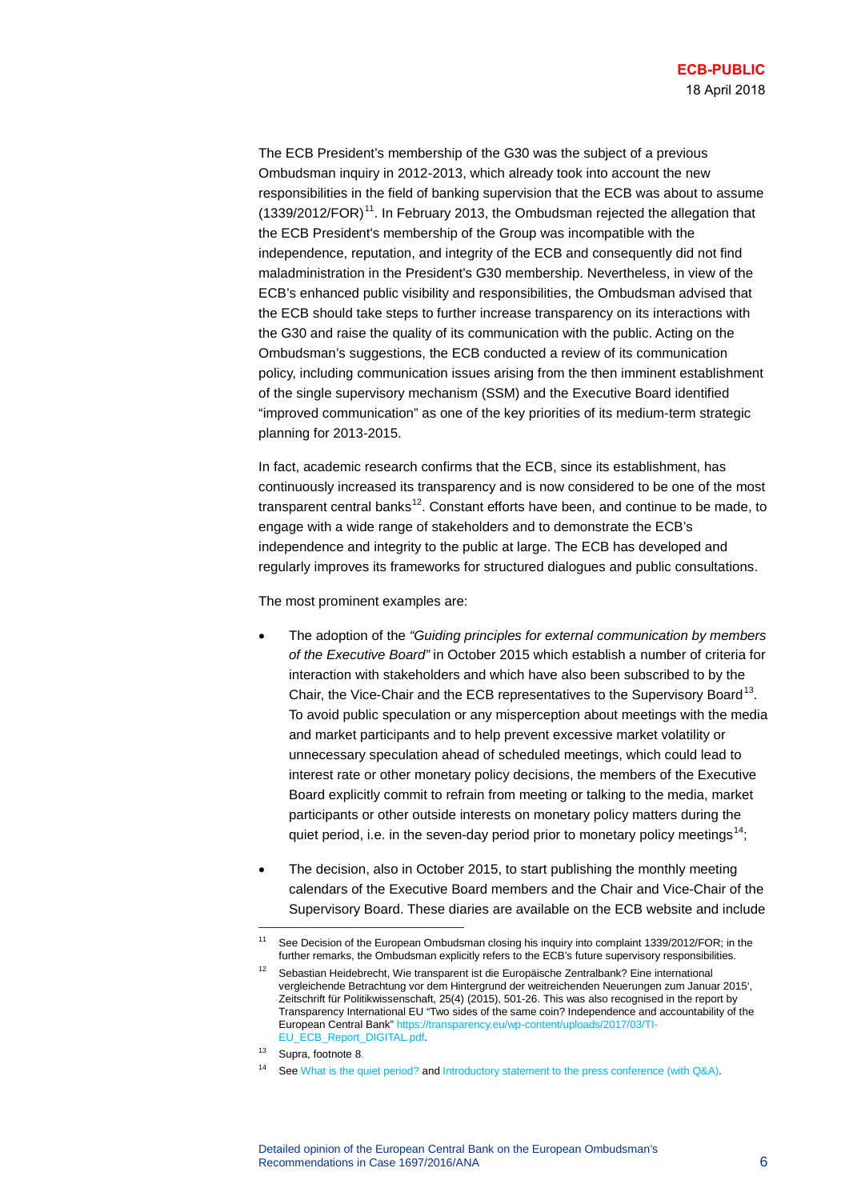The ECB President's membership of the G30 was the subject of a previous Ombudsman inquiry in 2012-2013, which already took into account the new responsibilities in the field of banking supervision that the ECB was about to assume  $(1339/2012/FOR)^{11}$ . In February 2013, the Ombudsman rejected the allegation that the ECB President's membership of the Group was incompatible with the independence, reputation, and integrity of the ECB and consequently did not find maladministration in the President's G30 membership. Nevertheless, in view of the ECB's enhanced public visibility and responsibilities, the Ombudsman advised that the ECB should take steps to further increase transparency on its interactions with the G30 and raise the quality of its communication with the public. Acting on the Ombudsman's suggestions, the ECB conducted a review of its communication policy, including communication issues arising from the then imminent establishment of the single supervisory mechanism (SSM) and the Executive Board identified "improved communication" as one of the key priorities of its medium-term strategic planning for 2013-2015.

In fact, academic research confirms that the ECB, since its establishment, has continuously increased its transparency and is now considered to be one of the most transparent central banks<sup>12</sup>. Constant efforts have been, and continue to be made, to engage with a wide range of stakeholders and to demonstrate the ECB's independence and integrity to the public at large. The ECB has developed and regularly improves its frameworks for structured dialogues and public consultations.

The most prominent examples are:

- The adoption of the *"Guiding principles for external communication by members of the Executive Board"* in October 2015 which establish a number of criteria for interaction with stakeholders and which have also been subscribed to by the Chair, the Vice-Chair and the ECB representatives to the Supervisory Board<sup>13</sup>. To avoid public speculation or any misperception about meetings with the media and market participants and to help prevent excessive market volatility or unnecessary speculation ahead of scheduled meetings, which could lead to interest rate or other monetary policy decisions, the members of the Executive Board explicitly commit to refrain from meeting or talking to the media, market participants or other outside interests on monetary policy matters during the quiet period, i.e. in the seven-day period prior to monetary policy meetings<sup>14</sup>;
- The decision, also in October 2015, to start publishing the monthly meeting calendars of the Executive Board members and the Chair and Vice-Chair of the Supervisory Board. These diaries are available on the ECB website and include

<span id="page-5-1"></span><span id="page-5-0"></span>Se[e Decision of the European Ombudsman closing his inquiry into complaint 1339/2012/FOR;](https://www.ombudsman.europa.eu/en/cases/decision.faces/en/49139/html.bookmark) in the further remarks, the Ombudsman explicitly refers to the ECB's future supervisory responsibilities.

<sup>12</sup> Sebastian Heidebrecht, Wie transparent ist die Europäische Zentralbank? Eine international vergleichende Betrachtung vor dem Hintergrund der weitreichenden Neuerungen zum Januar 2015', Zeitschrift für Politikwissenschaft, 25(4) (2015), 501-26. This was also recognised in the report by Transparency International EU "Two sides of the same coin? Independence and accountability of the European Central Bank" [https://transparency.eu/wp-content/uploads/2017/03/TI-](https://transparency.eu/wp-content/uploads/2017/03/TI-EU_ECB_Report_DIGITAL.pdf)[EU\\_ECB\\_Report\\_DIGITAL.pdf.](https://transparency.eu/wp-content/uploads/2017/03/TI-EU_ECB_Report_DIGITAL.pdf) 

<span id="page-5-3"></span><span id="page-5-2"></span><sup>13</sup> Supra, footnote 8.

<sup>14</sup> Se[e What is the quiet period?](https://www.ecb.europa.eu/explainers/tell-me/html/what-is-the_quiet_period.en.html) and [Introductory statement to the press conference \(with Q&A\).](http://www.ecb.europa.eu/press/pressconf/2015/html/is151203.en.html)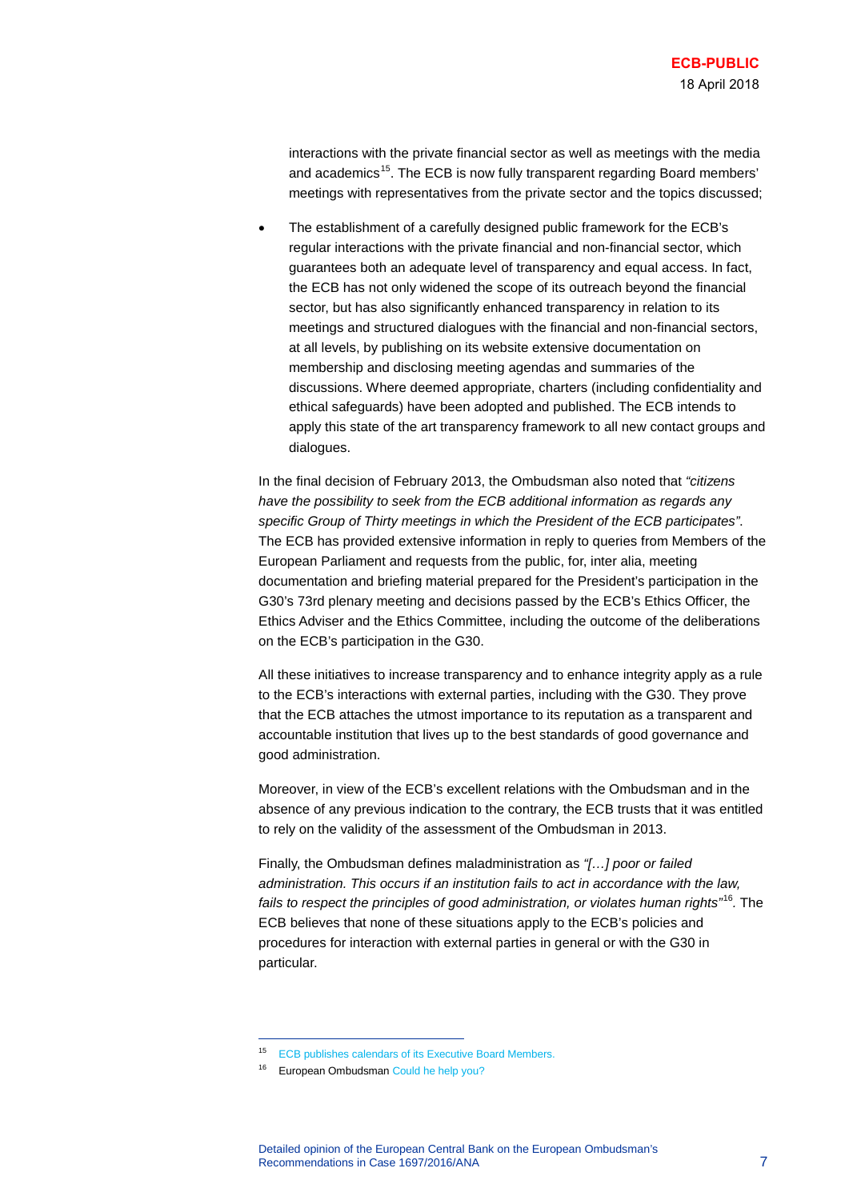interactions with the private financial sector as well as meetings with the media and academics<sup>15</sup>. The ECB is now fully transparent regarding Board members' meetings with representatives from the private sector and the topics discussed;

• The establishment of a carefully designed public framework for the ECB's regular interactions with the private financial and non-financial sector, which guarantees both an adequate level of transparency and equal access. In fact, the ECB has not only widened the scope of its outreach beyond the financial sector, but has also significantly enhanced transparency in relation to its meetings and structured dialogues with the financial and non-financial sectors, at all levels, by publishing on its website extensive documentation on membership and disclosing meeting agendas and summaries of the discussions. Where deemed appropriate, charters (including confidentiality and ethical safeguards) have been adopted and published. The ECB intends to apply this state of the art transparency framework to all new contact groups and dialogues.

In the final decision of February 2013, the Ombudsman also noted that *"citizens have the possibility to seek from the ECB additional information as regards any specific Group of Thirty meetings in which the President of the ECB participates"*. The ECB has provided extensive information in reply to queries from Members of the European Parliament and requests from the public, for, inter alia, meeting documentation and briefing material prepared for the President's participation in the G30's 73rd plenary meeting and decisions passed by the ECB's Ethics Officer, the Ethics Adviser and the Ethics Committee, including the outcome of the deliberations on the ECB's participation in the G30.

All these initiatives to increase transparency and to enhance integrity apply as a rule to the ECB's interactions with external parties, including with the G30. They prove that the ECB attaches the utmost importance to its reputation as a transparent and accountable institution that lives up to the best standards of good governance and good administration.

Moreover, in view of the ECB's excellent relations with the Ombudsman and in the absence of any previous indication to the contrary, the ECB trusts that it was entitled to rely on the validity of the assessment of the Ombudsman in 2013.

Finally, the Ombudsman defines maladministration as *"[…] poor or failed administration. This occurs if an institution fails to act in accordance with the law, fails to respect the principles of good administration, or violates human rights"*[16](#page-6-1)*.* The ECB believes that none of these situations apply to the ECB's policies and procedures for interaction with external parties in general or with the G30 in particular.

<span id="page-6-0"></span><sup>15</sup> [ECB publishes calendars of its Executive Board Members.](https://www.ecb.europa.eu/press/pr/date/2015/html/pr151030.en.html)

<span id="page-6-1"></span><sup>16</sup> European Ombudsma[n Could he help you?](https://www.ombudsman.europa.eu/atyourservice/couldhehelpyou.faces)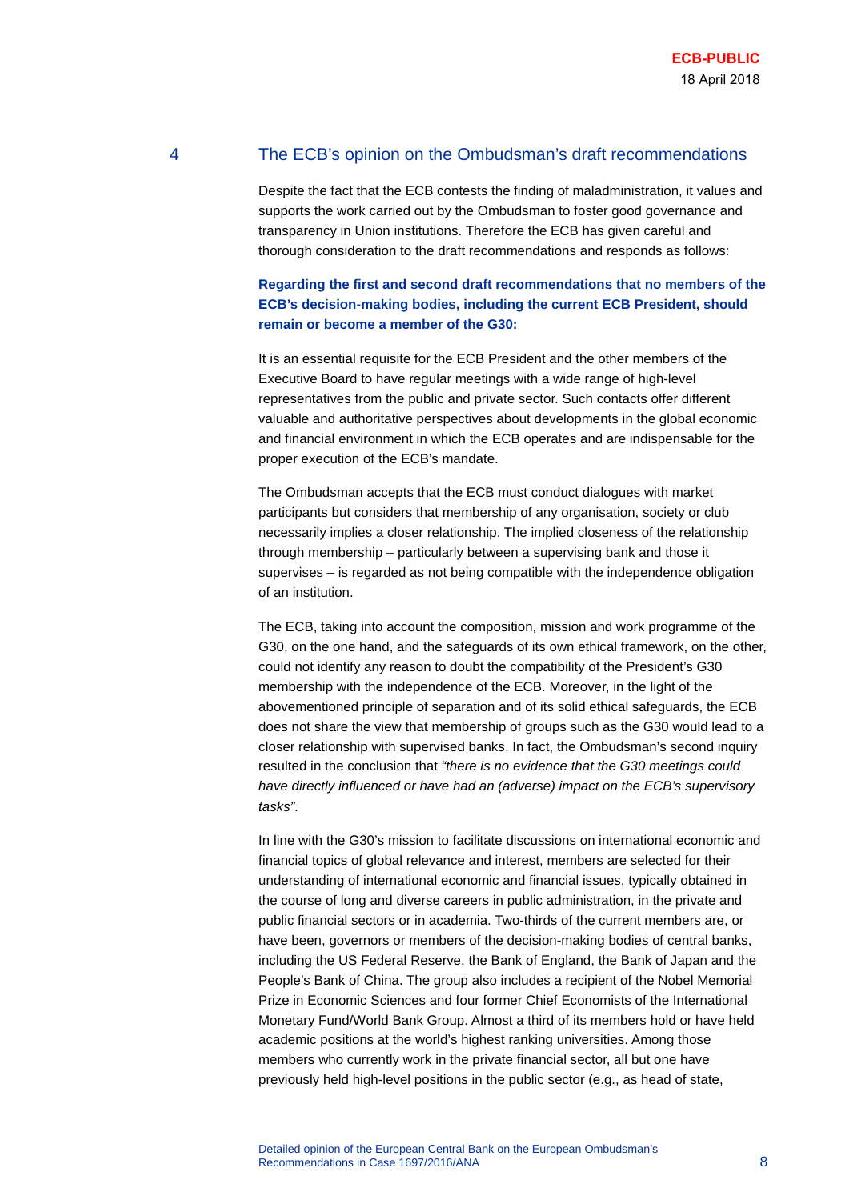# 4 The ECB's opinion on the Ombudsman's draft recommendations

Despite the fact that the ECB contests the finding of maladministration, it values and supports the work carried out by the Ombudsman to foster good governance and transparency in Union institutions. Therefore the ECB has given careful and thorough consideration to the draft recommendations and responds as follows:

#### **Regarding the first and second draft recommendations that no members of the ECB's decision-making bodies, including the current ECB President, should remain or become a member of the G30:**

It is an essential requisite for the ECB President and the other members of the Executive Board to have regular meetings with a wide range of high-level representatives from the public and private sector. Such contacts offer different valuable and authoritative perspectives about developments in the global economic and financial environment in which the ECB operates and are indispensable for the proper execution of the ECB's mandate.

The Ombudsman accepts that the ECB must conduct dialogues with market participants but considers that membership of any organisation, society or club necessarily implies a closer relationship. The implied closeness of the relationship through membership – particularly between a supervising bank and those it supervises – is regarded as not being compatible with the independence obligation of an institution.

The ECB, taking into account the composition, mission and work programme of the G30, on the one hand, and the safeguards of its own ethical framework, on the other, could not identify any reason to doubt the compatibility of the President's G30 membership with the independence of the ECB. Moreover, in the light of the abovementioned principle of separation and of its solid ethical safeguards, the ECB does not share the view that membership of groups such as the G30 would lead to a closer relationship with supervised banks. In fact, the Ombudsman's second inquiry resulted in the conclusion that *"there is no evidence that the G30 meetings could have directly influenced or have had an (adverse) impact on the ECB's supervisory tasks"*.

In line with the G30's mission to facilitate discussions on international economic and financial topics of global relevance and interest, members are selected for their understanding of international economic and financial issues, typically obtained in the course of long and diverse careers in public administration, in the private and public financial sectors or in academia. Two-thirds of the current members are, or have been, governors or members of the decision-making bodies of central banks, including the US Federal Reserve, the Bank of England, the Bank of Japan and the People's Bank of China. The group also includes a recipient of the Nobel Memorial Prize in Economic Sciences and four former Chief Economists of the International Monetary Fund/World Bank Group. Almost a third of its members hold or have held academic positions at the world's highest ranking universities. Among those members who currently work in the private financial sector, all but one have previously held high-level positions in the public sector (e.g., as head of state,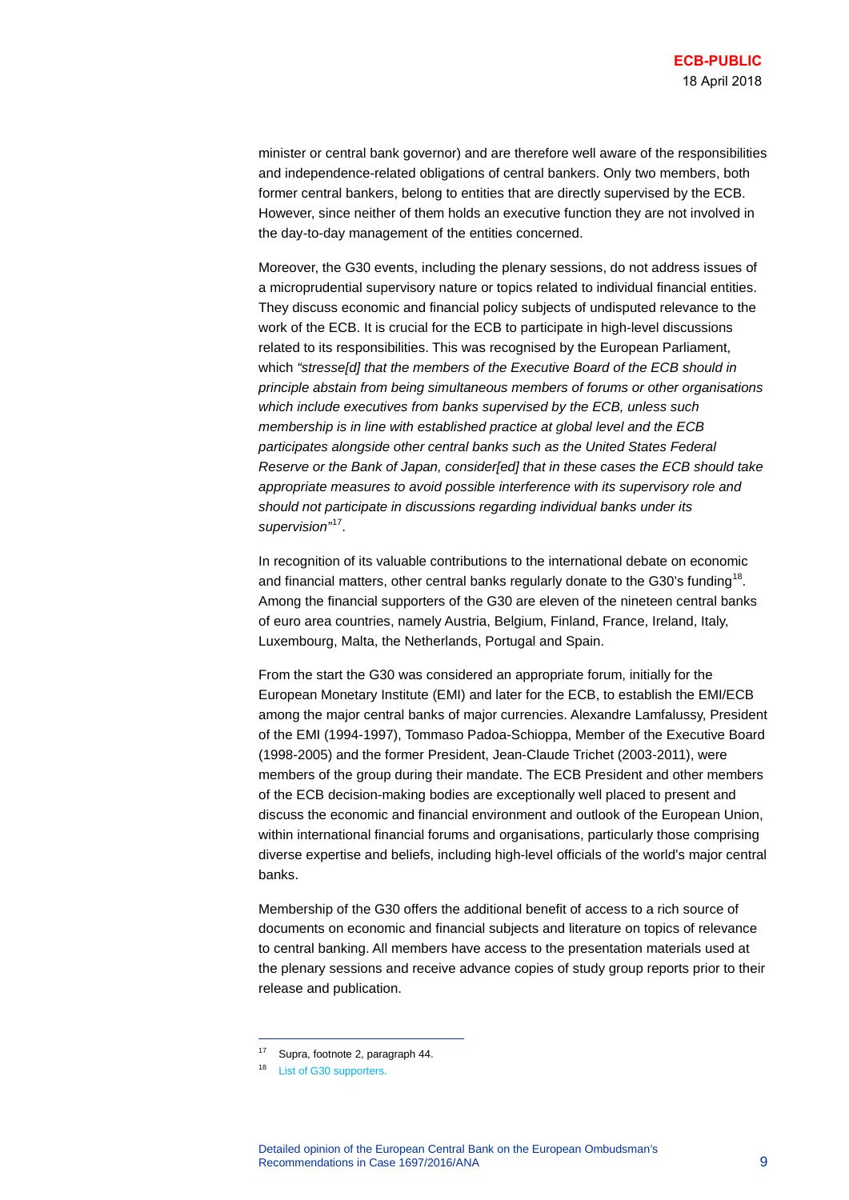minister or central bank governor) and are therefore well aware of the responsibilities and independence-related obligations of central bankers. Only two members, both former central bankers, belong to entities that are directly supervised by the ECB. However, since neither of them holds an executive function they are not involved in the day-to-day management of the entities concerned.

Moreover, the G30 events, including the plenary sessions, do not address issues of a microprudential supervisory nature or topics related to individual financial entities. They discuss economic and financial policy subjects of undisputed relevance to the work of the ECB. It is crucial for the ECB to participate in high-level discussions related to its responsibilities. This was recognised by the European Parliament, which *"stresse[d] that the members of the Executive Board of the ECB should in principle abstain from being simultaneous members of forums or other organisations which include executives from banks supervised by the ECB, unless such membership is in line with established practice at global level and the ECB participates alongside other central banks such as the United States Federal Reserve or the Bank of Japan, consider[ed] that in these cases the ECB should take appropriate measures to avoid possible interference with its supervisory role and should not participate in discussions regarding individual banks under its supervision"*[17.](#page-8-0)

In recognition of its valuable contributions to the international debate on economic and financial matters, other central banks regularly donate to the G30's funding<sup>18</sup>. Among the financial supporters of the G30 are eleven of the nineteen central banks of euro area countries, namely Austria, Belgium, Finland, France, Ireland, Italy, Luxembourg, Malta, the Netherlands, Portugal and Spain.

From the start the G30 was considered an appropriate forum, initially for the European Monetary Institute (EMI) and later for the ECB, to establish the EMI/ECB among the major central banks of major currencies. Alexandre Lamfalussy, President of the EMI (1994-1997), Tommaso Padoa-Schioppa, Member of the Executive Board (1998-2005) and the former President, Jean-Claude Trichet (2003-2011), were members of the group during their mandate. The ECB President and other members of the ECB decision-making bodies are exceptionally well placed to present and discuss the economic and financial environment and outlook of the European Union, within international financial forums and organisations, particularly those comprising diverse expertise and beliefs, including high-level officials of the world's major central banks.

Membership of the G30 offers the additional benefit of access to a rich source of documents on economic and financial subjects and literature on topics of relevance to central banking. All members have access to the presentation materials used at the plenary sessions and receive advance copies of study group reports prior to their release and publication.

<span id="page-8-0"></span><sup>17</sup> Supra, footnote 2, paragraph 44.

<span id="page-8-1"></span><sup>18</sup> [List of G30 supporters.](http://group30.org/about/supporters)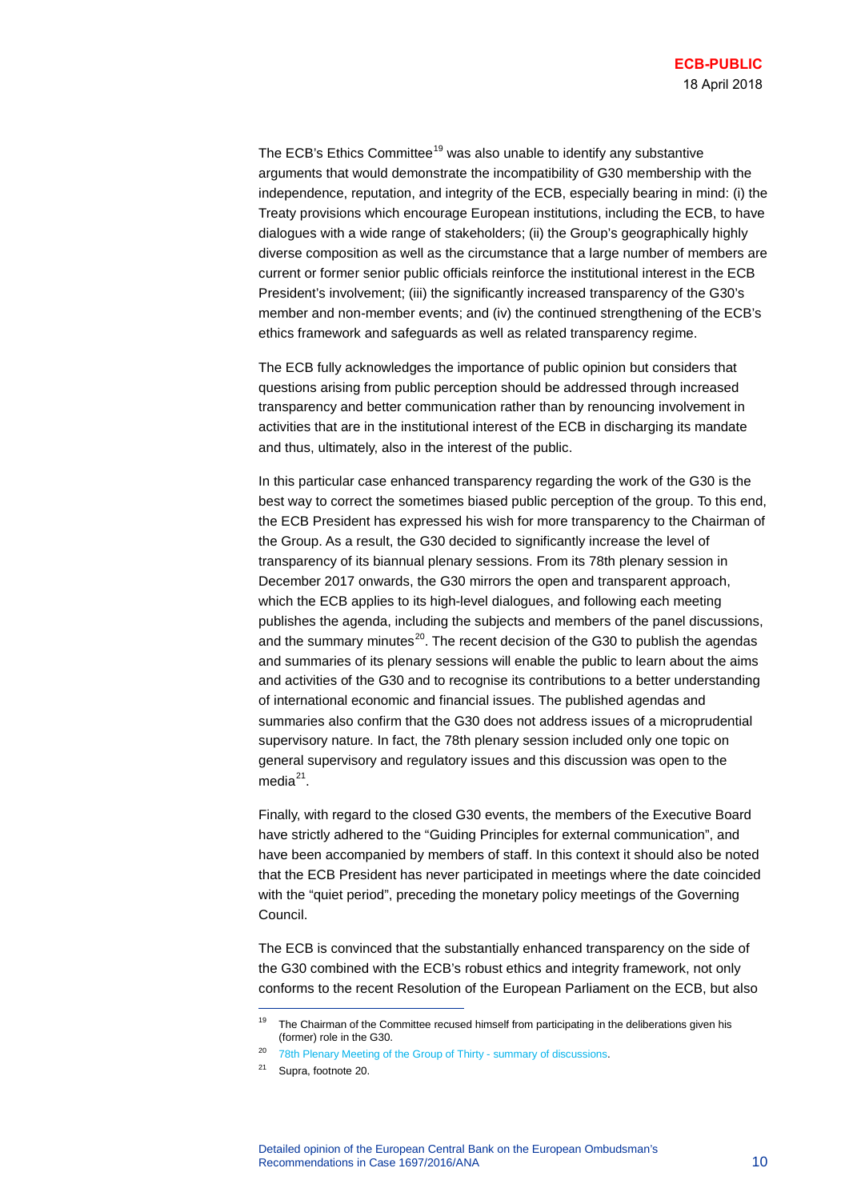The ECB's Ethics Committee<sup>[19](#page-9-0)</sup> was also unable to identify any substantive arguments that would demonstrate the incompatibility of G30 membership with the independence, reputation, and integrity of the ECB, especially bearing in mind: (i) the Treaty provisions which encourage European institutions, including the ECB, to have dialogues with a wide range of stakeholders; (ii) the Group's geographically highly diverse composition as well as the circumstance that a large number of members are current or former senior public officials reinforce the institutional interest in the ECB President's involvement; (iii) the significantly increased transparency of the G30's member and non-member events; and (iv) the continued strengthening of the ECB's ethics framework and safeguards as well as related transparency regime.

The ECB fully acknowledges the importance of public opinion but considers that questions arising from public perception should be addressed through increased transparency and better communication rather than by renouncing involvement in activities that are in the institutional interest of the ECB in discharging its mandate and thus, ultimately, also in the interest of the public.

In this particular case enhanced transparency regarding the work of the G30 is the best way to correct the sometimes biased public perception of the group. To this end, the ECB President has expressed his wish for more transparency to the Chairman of the Group. As a result, the G30 decided to significantly increase the level of transparency of its biannual plenary sessions. From its 78th plenary session in December 2017 onwards, the G30 mirrors the open and transparent approach, which the ECB applies to its high-level dialogues, and following each meeting publishes the agenda, including the subjects and members of the panel discussions, and the summary minutes $^{20}$ . The recent decision of the G30 to publish the agendas and summaries of its plenary sessions will enable the public to learn about the aims and activities of the G30 and to recognise its contributions to a better understanding of international economic and financial issues. The published agendas and summaries also confirm that the G30 does not address issues of a microprudential supervisory nature. In fact, the 78th plenary session included only one topic on general supervisory and regulatory issues and this discussion was open to the media $^{21}$ .

Finally, with regard to the closed G30 events, the members of the Executive Board have strictly adhered to the "Guiding Principles for external communication", and have been accompanied by members of staff. In this context it should also be noted that the ECB President has never participated in meetings where the date coincided with the "quiet period", preceding the monetary policy meetings of the Governing Council.

The ECB is convinced that the substantially enhanced transparency on the side of the G30 combined with the ECB's robust ethics and integrity framework, not only conforms to the recent Resolution of the European Parliament on the ECB, but also

<span id="page-9-0"></span><sup>&</sup>lt;sup>19</sup> The Chairman of the Committee recused himself from participating in the deliberations given his (former) role in the G30.

<span id="page-9-2"></span><span id="page-9-1"></span><sup>&</sup>lt;sup>20</sup> [78th Plenary Meeting of the Group of Thirty - summary of discussions.](http://group30.org/images/uploads/events/78th_Plenary_summary.pdf)

<sup>21</sup> Supra, footnote 20.